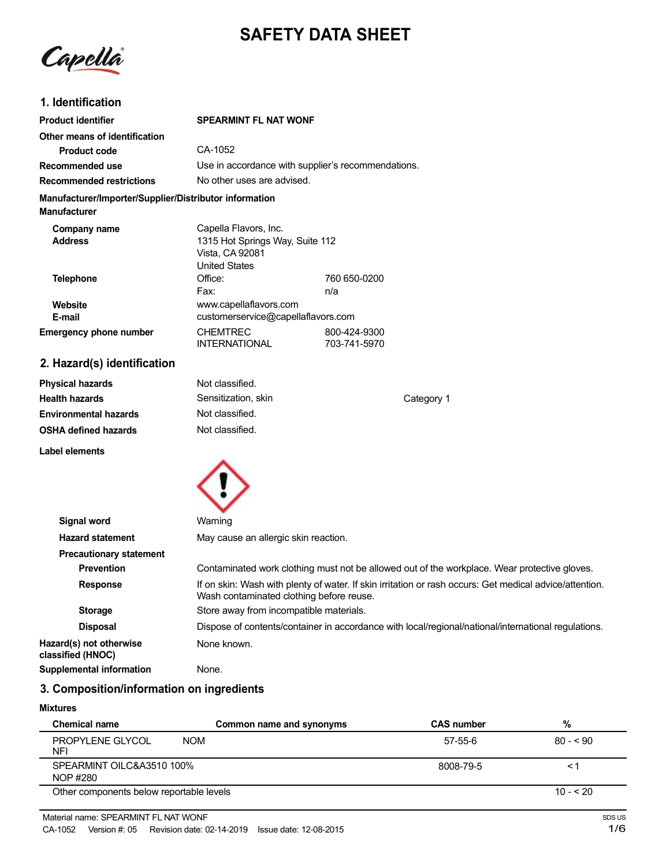# **SAFETY DATA SHEET**

Capella

# **1. Identification**

| <b>Product identifier</b>                                                     | <b>SPEARMINT FL NAT WONF</b>                                                                 |                              |
|-------------------------------------------------------------------------------|----------------------------------------------------------------------------------------------|------------------------------|
| Other means of identification                                                 |                                                                                              |                              |
| <b>Product code</b>                                                           | CA-1052                                                                                      |                              |
| Recommended use                                                               | Use in accordance with supplier's recommendations.                                           |                              |
| <b>Recommended restrictions</b>                                               | No other uses are advised.                                                                   |                              |
| Manufacturer/Importer/Supplier/Distributor information<br><b>Manufacturer</b> |                                                                                              |                              |
| Company name<br><b>Address</b>                                                | Capella Flavors, Inc.<br>1315 Hot Springs Way, Suite 112<br>Vista, CA 92081<br>United States |                              |
| <b>Telephone</b>                                                              | Office:<br>Fax:                                                                              | 760 650-0200<br>n/a          |
| Website<br>E-mail                                                             | www.capellaflavors.com<br>customerservice@capellaflavors.com                                 |                              |
| <b>Emergency phone number</b>                                                 | <b>CHEMTREC</b><br><b>INTERNATIONAL</b>                                                      | 800-424-9300<br>703-741-5970 |
| 2. Hazard(s) identification                                                   |                                                                                              |                              |

| <b>Physical hazards</b>      | Not classified.     |            |
|------------------------------|---------------------|------------|
| <b>Health hazards</b>        | Sensitization, skin | Category 1 |
| <b>Environmental hazards</b> | Not classified.     |            |
| <b>OSHA defined hazards</b>  | Not classified.     |            |
| Label elements               |                     |            |



| Signal word                                  | Warning                                                                                                                                             |
|----------------------------------------------|-----------------------------------------------------------------------------------------------------------------------------------------------------|
| <b>Hazard statement</b>                      | May cause an allergic skin reaction.                                                                                                                |
| <b>Precautionary statement</b>               |                                                                                                                                                     |
| <b>Prevention</b>                            | Contaminated work clothing must not be allowed out of the workplace. Wear protective gloves.                                                        |
| <b>Response</b>                              | If on skin: Wash with plenty of water. If skin irritation or rash occurs: Get medical advice/attention.<br>Wash contaminated clothing before reuse. |
| <b>Storage</b>                               | Store away from incompatible materials.                                                                                                             |
| <b>Disposal</b>                              | Dispose of contents/container in accordance with local/regional/national/international regulations.                                                 |
| Hazard(s) not otherwise<br>classified (HNOC) | None known.                                                                                                                                         |
| <b>Supplemental information</b>              | None.                                                                                                                                               |

# **3. Composition/information on ingredients**

#### **Mixtures**

| <b>Chemical name</b>                     | Common name and synonyms | <b>CAS number</b> | %          |
|------------------------------------------|--------------------------|-------------------|------------|
| PROPYLENE GLYCOL<br><b>NFI</b>           | <b>NOM</b>               | 57-55-6           | $80 - 50$  |
| SPEARMINT OILC&A3510 100%<br>NOP #280    |                          | 8008-79-5         | < ∶        |
| Other components below reportable levels |                          |                   | $10 - 520$ |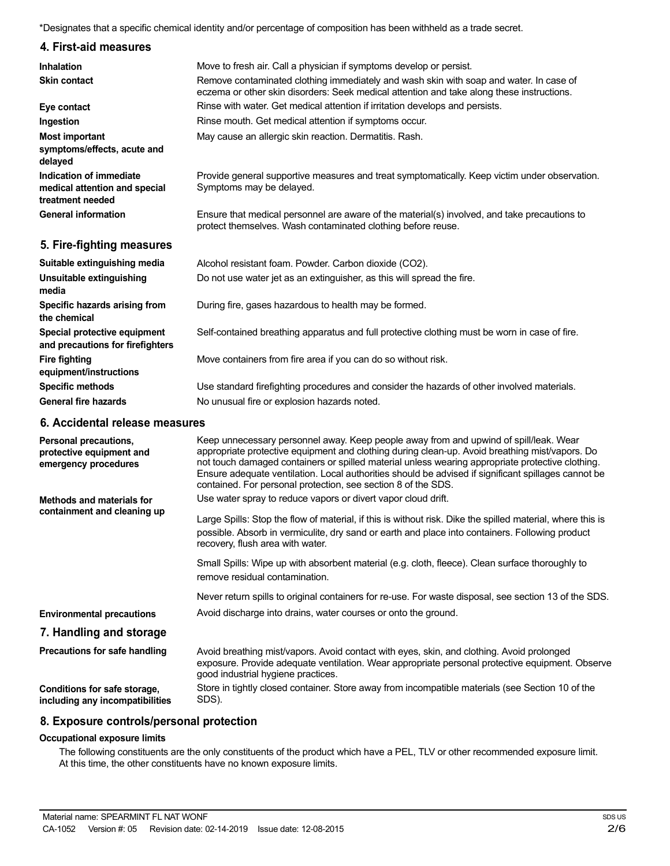\*Designates that a specific chemical identity and/or percentage of composition has been withheld as a trade secret.

# **4. First-aid measures**

| <b>Inhalation</b>                                                            | Move to fresh air. Call a physician if symptoms develop or persist.                                                                                                                 |
|------------------------------------------------------------------------------|-------------------------------------------------------------------------------------------------------------------------------------------------------------------------------------|
| <b>Skin contact</b>                                                          | Remove contaminated clothing immediately and wash skin with soap and water. In case of<br>eczema or other skin disorders: Seek medical attention and take along these instructions. |
| Eye contact                                                                  | Rinse with water. Get medical attention if irritation develops and persists.                                                                                                        |
| Ingestion                                                                    | Rinse mouth. Get medical attention if symptoms occur.                                                                                                                               |
| <b>Most important</b>                                                        | May cause an allergic skin reaction. Dermatitis. Rash.                                                                                                                              |
| symptoms/effects, acute and<br>delayed                                       |                                                                                                                                                                                     |
| Indication of immediate<br>medical attention and special<br>treatment needed | Provide general supportive measures and treat symptomatically. Keep victim under observation.<br>Symptoms may be delayed.                                                           |
| <b>General information</b>                                                   | Ensure that medical personnel are aware of the material(s) involved, and take precautions to<br>protect themselves. Wash contaminated clothing before reuse.                        |
| 5. Fire-fighting measures                                                    |                                                                                                                                                                                     |
| Suitable extinguishing media                                                 | Alcohol resistant foam. Powder. Carbon dioxide (CO2).                                                                                                                               |
| Unsuitable extinguishing<br>media                                            | Do not use water jet as an extinguisher, as this will spread the fire.                                                                                                              |
| Specific hazards arising from<br>the chemical                                | During fire, gases hazardous to health may be formed.                                                                                                                               |
| Special protective equipment<br>and precautions for firefighters             | Self-contained breathing apparatus and full protective clothing must be worn in case of fire.                                                                                       |

Move containers from fire area if you can do so without risk.

Use standard firefighting procedures and consider the hazards of other involved materials. No unusual fire or explosion hazards noted.

### **6. Accidental release measures**

**Fire fighting**

**equipment/instructions Specific methods General fire hazards**

| Personal precautions,<br>protective equipment and<br>emergency procedures | Keep unnecessary personnel away. Keep people away from and upwind of spill/leak. Wear<br>appropriate protective equipment and clothing during clean-up. Avoid breathing mist/vapors. Do<br>not touch damaged containers or spilled material unless wearing appropriate protective clothing.<br>Ensure adequate ventilation. Local authorities should be advised if significant spillages cannot be<br>contained. For personal protection, see section 8 of the SDS. |
|---------------------------------------------------------------------------|---------------------------------------------------------------------------------------------------------------------------------------------------------------------------------------------------------------------------------------------------------------------------------------------------------------------------------------------------------------------------------------------------------------------------------------------------------------------|
| Methods and materials for                                                 | Use water spray to reduce vapors or divert vapor cloud drift.                                                                                                                                                                                                                                                                                                                                                                                                       |
| containment and cleaning up                                               | Large Spills: Stop the flow of material, if this is without risk. Dike the spilled material, where this is<br>possible. Absorb in vermiculite, dry sand or earth and place into containers. Following product<br>recovery, flush area with water.                                                                                                                                                                                                                   |
|                                                                           | Small Spills: Wipe up with absorbent material (e.g. cloth, fleece). Clean surface thoroughly to<br>remove residual contamination.                                                                                                                                                                                                                                                                                                                                   |
|                                                                           | Never return spills to original containers for re-use. For waste disposal, see section 13 of the SDS.                                                                                                                                                                                                                                                                                                                                                               |
| <b>Environmental precautions</b>                                          | Avoid discharge into drains, water courses or onto the ground.                                                                                                                                                                                                                                                                                                                                                                                                      |
| 7. Handling and storage                                                   |                                                                                                                                                                                                                                                                                                                                                                                                                                                                     |
| Precautions for safe handling                                             | Avoid breathing mist/vapors. Avoid contact with eyes, skin, and clothing. Avoid prolonged<br>exposure. Provide adequate ventilation. Wear appropriate personal protective equipment. Observe<br>good industrial hygiene practices.                                                                                                                                                                                                                                  |
| Conditions for safe storage,<br>including any incompatibilities           | Store in tightly closed container. Store away from incompatible materials (see Section 10 of the<br>SDS).                                                                                                                                                                                                                                                                                                                                                           |

#### **8. Exposure controls/personal protection**

#### **Occupational exposure limits**

The following constituents are the only constituents of the product which have a PEL, TLV or other recommended exposure limit. At this time, the other constituents have no known exposure limits.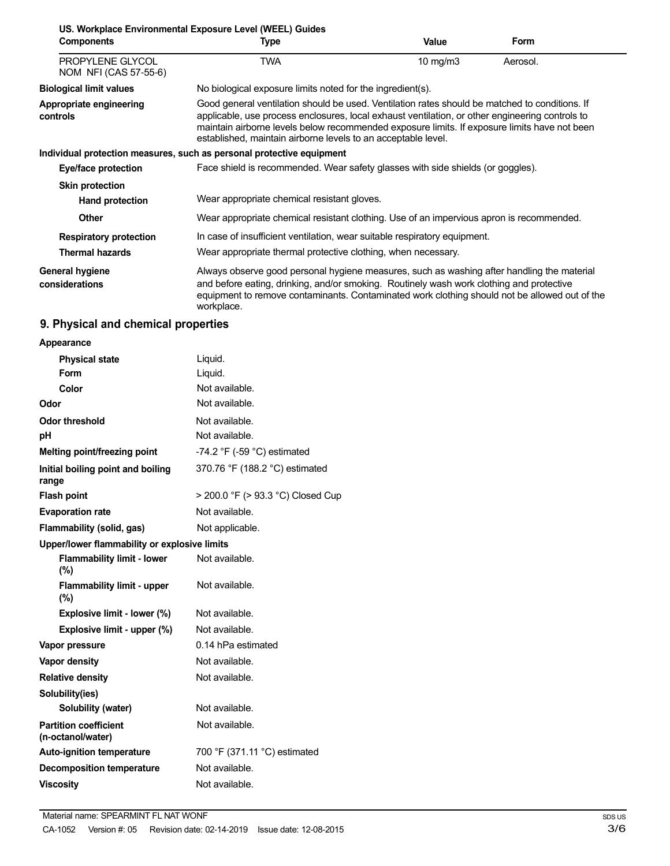| <b>Components</b>                         | US. Workplace Environmental Exposure Level (WEEL) Guides<br>Type                                                                                                                                                                                                                                                                                                   | Value      | <b>Form</b> |
|-------------------------------------------|--------------------------------------------------------------------------------------------------------------------------------------------------------------------------------------------------------------------------------------------------------------------------------------------------------------------------------------------------------------------|------------|-------------|
| PROPYLENE GLYCOL<br>NOM NFI (CAS 57-55-6) | TWA                                                                                                                                                                                                                                                                                                                                                                | 10 $mg/m3$ | Aerosol.    |
| <b>Biological limit values</b>            | No biological exposure limits noted for the ingredient(s).                                                                                                                                                                                                                                                                                                         |            |             |
| Appropriate engineering<br>controls       | Good general ventilation should be used. Ventilation rates should be matched to conditions. If<br>applicable, use process enclosures, local exhaust ventilation, or other engineering controls to<br>maintain airborne levels below recommended exposure limits. If exposure limits have not been<br>established, maintain airborne levels to an acceptable level. |            |             |
|                                           | Individual protection measures, such as personal protective equipment                                                                                                                                                                                                                                                                                              |            |             |
| Eye/face protection                       | Face shield is recommended. Wear safety glasses with side shields (or goggles).                                                                                                                                                                                                                                                                                    |            |             |
| <b>Skin protection</b>                    |                                                                                                                                                                                                                                                                                                                                                                    |            |             |
| <b>Hand protection</b>                    | Wear appropriate chemical resistant gloves.                                                                                                                                                                                                                                                                                                                        |            |             |
| <b>Other</b>                              | Wear appropriate chemical resistant clothing. Use of an impervious apron is recommended.                                                                                                                                                                                                                                                                           |            |             |
| <b>Respiratory protection</b>             | In case of insufficient ventilation, wear suitable respiratory equipment.                                                                                                                                                                                                                                                                                          |            |             |
| <b>Thermal hazards</b>                    | Wear appropriate thermal protective clothing, when necessary.                                                                                                                                                                                                                                                                                                      |            |             |
| General hygiene<br>considerations         | Always observe good personal hygiene measures, such as washing after handling the material<br>and before eating, drinking, and/or smoking. Routinely wash work clothing and protective<br>equipment to remove contaminants. Contaminated work clothing should not be allowed out of the<br>workplace.                                                              |            |             |

# **9. Physical and chemical properties**

| Appearance                                        |                                               |  |
|---------------------------------------------------|-----------------------------------------------|--|
| <b>Physical state</b>                             | Liquid.                                       |  |
| <b>Form</b>                                       | Liquid.                                       |  |
| Color                                             | Not available.                                |  |
| Odor                                              | Not available.                                |  |
| <b>Odor threshold</b>                             | Not available.                                |  |
| рH                                                | Not available.                                |  |
| Melting point/freezing point                      | -74.2 $\degree$ F (-59 $\degree$ C) estimated |  |
| Initial boiling point and boiling<br>range        | 370.76 °F (188.2 °C) estimated                |  |
| <b>Flash point</b>                                | > 200.0 °F (> 93.3 °C) Closed Cup             |  |
| <b>Evaporation rate</b>                           | Not available.                                |  |
| Flammability (solid, gas)                         | Not applicable.                               |  |
| Upper/lower flammability or explosive limits      |                                               |  |
| <b>Flammability limit - lower</b><br>$(\%)$       | Not available.                                |  |
| <b>Flammability limit - upper</b><br>(%)          | Not available.                                |  |
| Explosive limit - lower (%)                       | Not available.                                |  |
| Explosive limit - upper (%)                       | Not available.                                |  |
| Vapor pressure                                    | 0.14 hPa estimated                            |  |
| Vapor density                                     | Not available.                                |  |
| <b>Relative density</b>                           | Not available.                                |  |
| Solubility(ies)                                   |                                               |  |
| Solubility (water)                                | Not available.                                |  |
| <b>Partition coefficient</b><br>(n-octanol/water) | Not available.                                |  |
| <b>Auto-ignition temperature</b>                  | 700 °F (371.11 °C) estimated                  |  |
| <b>Decomposition temperature</b>                  | Not available.                                |  |
| <b>Viscositv</b>                                  | Not available.                                |  |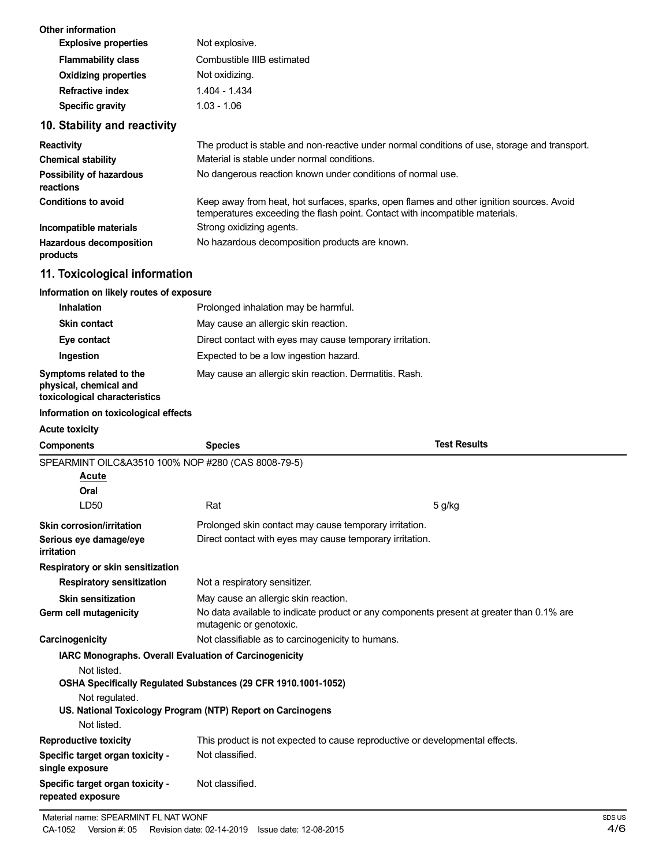| <b>Other information</b>                                                           |                                                                                                                                                                          |                     |
|------------------------------------------------------------------------------------|--------------------------------------------------------------------------------------------------------------------------------------------------------------------------|---------------------|
| <b>Explosive properties</b>                                                        | Not explosive.                                                                                                                                                           |                     |
| <b>Flammability class</b>                                                          | Combustible IIIB estimated                                                                                                                                               |                     |
| <b>Oxidizing properties</b>                                                        | Not oxidizing.                                                                                                                                                           |                     |
| <b>Refractive index</b>                                                            | 1.404 - 1.434                                                                                                                                                            |                     |
| <b>Specific gravity</b>                                                            | $1.03 - 1.06$                                                                                                                                                            |                     |
| 10. Stability and reactivity                                                       |                                                                                                                                                                          |                     |
| <b>Reactivity</b>                                                                  | The product is stable and non-reactive under normal conditions of use, storage and transport.                                                                            |                     |
| <b>Chemical stability</b>                                                          | Material is stable under normal conditions.                                                                                                                              |                     |
| <b>Possibility of hazardous</b><br>reactions                                       | No dangerous reaction known under conditions of normal use.                                                                                                              |                     |
| <b>Conditions to avoid</b>                                                         | Keep away from heat, hot surfaces, sparks, open flames and other ignition sources. Avoid<br>temperatures exceeding the flash point. Contact with incompatible materials. |                     |
| Incompatible materials                                                             | Strong oxidizing agents.                                                                                                                                                 |                     |
| <b>Hazardous decomposition</b><br>products                                         | No hazardous decomposition products are known.                                                                                                                           |                     |
| 11. Toxicological information                                                      |                                                                                                                                                                          |                     |
| Information on likely routes of exposure                                           |                                                                                                                                                                          |                     |
| <b>Inhalation</b>                                                                  | Prolonged inhalation may be harmful.                                                                                                                                     |                     |
| <b>Skin contact</b>                                                                | May cause an allergic skin reaction.                                                                                                                                     |                     |
| Eye contact                                                                        | Direct contact with eyes may cause temporary irritation.                                                                                                                 |                     |
| Ingestion                                                                          | Expected to be a low ingestion hazard.                                                                                                                                   |                     |
| Symptoms related to the<br>physical, chemical and<br>toxicological characteristics | May cause an allergic skin reaction. Dermatitis. Rash.                                                                                                                   |                     |
| Information on toxicological effects                                               |                                                                                                                                                                          |                     |
| <b>Acute toxicity</b>                                                              |                                                                                                                                                                          |                     |
| <b>Components</b>                                                                  | <b>Species</b>                                                                                                                                                           | <b>Test Results</b> |
| SPEARMINT OILC&A3510 100% NOP #280 (CAS 8008-79-5)                                 |                                                                                                                                                                          |                     |
| Acute                                                                              |                                                                                                                                                                          |                     |
| Oral                                                                               |                                                                                                                                                                          |                     |
| LD50                                                                               | Rat                                                                                                                                                                      | 5 g/kg              |
| <b>Skin corrosion/irritation</b>                                                   | Prolonged skin contact may cause temporary irritation.                                                                                                                   |                     |

Direct contact with eyes may cause temporary irritation.

No data available to indicate product or any components present at greater than 0.1% are

This product is not expected to cause reproductive or developmental effects.

May cause an allergic skin reaction.

mutagenic or genotoxic.

**Carcinogenicity Carcinogenicity Not classifiable as to carcinogenicity to humans.** 

Not classified.

Not classified.

**OSHA Specifically Regulated Substances (29 CFR 1910.1001-1052)**

**US. National Toxicology Program (NTP) Report on Carcinogens**

**Respiratory sensitization** Not a respiratory sensitizer.

**IARC Monographs. Overall Evaluation of Carcinogenicity**

**Serious eye damage/eye**

**Skin sensitization Germ cell mutagenicity**

Not listed.

Not listed. **Reproductive toxicity**

**Specific target organ toxicity -**

**Specific target organ toxicity -**

**single exposure**

**repeated exposure**

Not regulated.

**Respiratory or skin sensitization**

**irritation**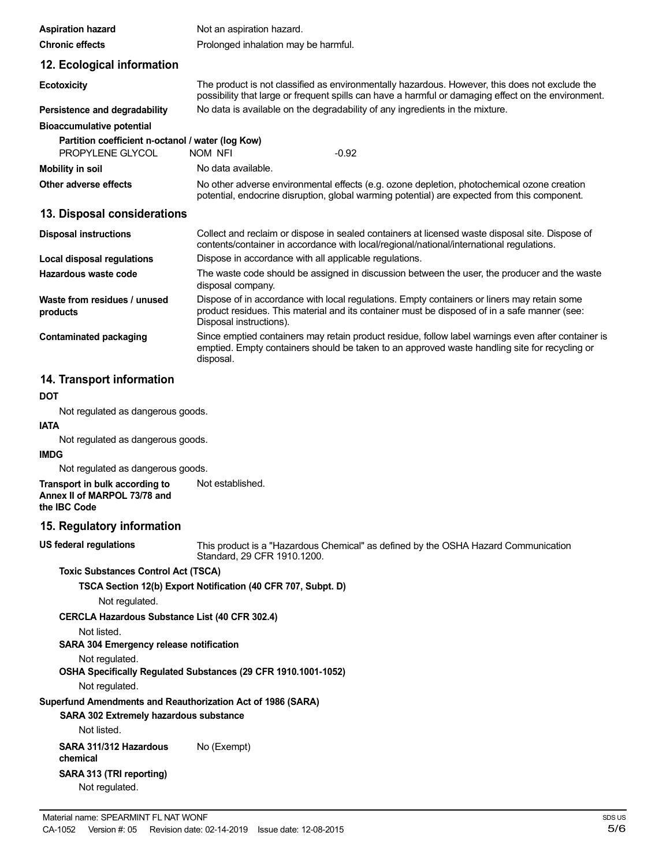| <b>Aspiration hazard</b>                                              | Not an aspiration hazard.                                                                                                                                                                                              |
|-----------------------------------------------------------------------|------------------------------------------------------------------------------------------------------------------------------------------------------------------------------------------------------------------------|
| <b>Chronic effects</b>                                                | Prolonged inhalation may be harmful.                                                                                                                                                                                   |
| 12. Ecological information                                            |                                                                                                                                                                                                                        |
| <b>Ecotoxicity</b>                                                    | The product is not classified as environmentally hazardous. However, this does not exclude the<br>possibility that large or frequent spills can have a harmful or damaging effect on the environment.                  |
| Persistence and degradability                                         | No data is available on the degradability of any ingredients in the mixture.                                                                                                                                           |
| <b>Bioaccumulative potential</b>                                      |                                                                                                                                                                                                                        |
| Partition coefficient n-octanol / water (log Kow)<br>PROPYLENE GLYCOL | $-0.92$<br>NOM NFI                                                                                                                                                                                                     |
| <b>Mobility in soil</b>                                               | No data available.                                                                                                                                                                                                     |
| Other adverse effects                                                 | No other adverse environmental effects (e.g. ozone depletion, photochemical ozone creation<br>potential, endocrine disruption, global warming potential) are expected from this component.                             |
| 13. Disposal considerations                                           |                                                                                                                                                                                                                        |
| <b>Disposal instructions</b>                                          | Collect and reclaim or dispose in sealed containers at licensed waste disposal site. Dispose of<br>contents/container in accordance with local/regional/national/international regulations.                            |
| Local disposal regulations                                            | Dispose in accordance with all applicable regulations.                                                                                                                                                                 |
| Hazardous waste code                                                  | The waste code should be assigned in discussion between the user, the producer and the waste<br>disposal company.                                                                                                      |
| Waste from residues / unused<br>products                              | Dispose of in accordance with local regulations. Empty containers or liners may retain some<br>product residues. This material and its container must be disposed of in a safe manner (see:<br>Disposal instructions). |
| <b>Contaminated packaging</b>                                         | Since emptied containers may retain product residue, follow label warnings even after container is<br>emptied. Empty containers should be taken to an approved waste handling site for recycling or<br>disposal.       |

# **14. Transport information**

### **DOT**

Not regulated as dangerous goods.

# **IATA**

Not regulated as dangerous goods.

#### **IMDG**

Not regulated as dangerous goods.

**Transport in bulk according to Annex II of MARPOL 73/78 and the IBC Code** Not established.

#### **15. Regulatory information**

**US federal regulations**

This product is a "Hazardous Chemical" as defined by the OSHA Hazard Communication Standard, 29 CFR 1910.1200.

#### **Toxic Substances Control Act (TSCA)**

**TSCA Section 12(b) Export Notification (40 CFR 707, Subpt. D)**

Not regulated.

**CERCLA Hazardous Substance List (40 CFR 302.4)**

Not listed.

# **SARA 304 Emergency release notification**

Not regulated.

**OSHA Specifically Regulated Substances (29 CFR 1910.1001-1052)**

Not regulated.

#### **Superfund Amendments and Reauthorization Act of 1986 (SARA)**

**SARA 302 Extremely hazardous substance**

Not listed.

**SARA 311/312 Hazardous chemical SARA 313 (TRI reporting)** Not regulated. No (Exempt)